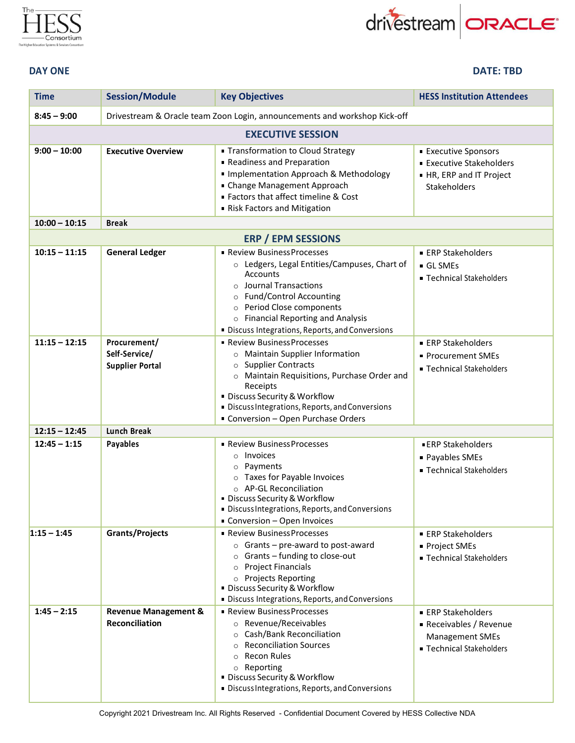

## drivestream **ORACLE**



| <b>Time</b>     | <b>Session/Module</b>                                    | <b>Key Objectives</b>                                                                                                                                                                                                                                                         | <b>HESS Institution Attendees</b>                                                                           |
|-----------------|----------------------------------------------------------|-------------------------------------------------------------------------------------------------------------------------------------------------------------------------------------------------------------------------------------------------------------------------------|-------------------------------------------------------------------------------------------------------------|
| $8:45 - 9:00$   |                                                          | Drivestream & Oracle team Zoon Login, announcements and workshop Kick-off                                                                                                                                                                                                     |                                                                                                             |
|                 |                                                          | <b>EXECUTIVE SESSION</b>                                                                                                                                                                                                                                                      |                                                                                                             |
| $9:00 - 10:00$  | <b>Executive Overview</b>                                | • Transformation to Cloud Strategy<br>Readiness and Preparation<br>• Implementation Approach & Methodology<br>• Change Management Approach<br>■ Factors that affect timeline & Cost<br>Risk Factors and Mitigation                                                            | <b>Executive Sponsors</b><br><b>Executive Stakeholders</b><br>HR, ERP and IT Project<br><b>Stakeholders</b> |
| $10:00 - 10:15$ | <b>Break</b>                                             |                                                                                                                                                                                                                                                                               |                                                                                                             |
| $10:15 - 11:15$ | <b>General Ledger</b>                                    | <b>ERP / EPM SESSIONS</b><br>Review Business Processes                                                                                                                                                                                                                        | <b>ERP Stakeholders</b>                                                                                     |
|                 |                                                          | o Ledgers, Legal Entities/Campuses, Chart of<br><b>Accounts</b><br>$\circ$ Journal Transactions<br>o Fund/Control Accounting<br>o Period Close components<br>o Financial Reporting and Analysis<br>· Discuss Integrations, Reports, and Conversions                           | GL SMEs<br>■ Technical Stakeholders                                                                         |
| $11:15 - 12:15$ | Procurement/<br>Self-Service/<br><b>Supplier Portal</b>  | • Review Business Processes<br>o Maintain Supplier Information<br>o Supplier Contracts<br>o Maintain Requisitions, Purchase Order and<br>Receipts<br>· Discuss Security & Workflow<br>· Discuss Integrations, Reports, and Conversions<br>• Conversion - Open Purchase Orders | ■ ERP Stakeholders<br>• Procurement SMEs<br>■ Technical Stakeholders                                        |
| $12:15 - 12:45$ | <b>Lunch Break</b>                                       |                                                                                                                                                                                                                                                                               |                                                                                                             |
| $12:45 - 1:15$  | Payables                                                 | • Review Business Processes<br>$\circ$ Invoices<br>o Payments<br>o Taxes for Payable Invoices<br>o AP-GL Reconciliation<br>· Discuss Security & Workflow<br>· Discuss Integrations, Reports, and Conversions<br>Conversion - Open Invoices                                    | <b>ERP Stakeholders</b><br>• Payables SMEs<br>■ Technical Stakeholders                                      |
| $1:15 - 1:45$   | <b>Grants/Projects</b>                                   | • Review Business Processes<br>$\circ$ Grants – pre-award to post-award<br>$\circ$ Grants – funding to close-out<br>o Project Financials<br>o Projects Reporting<br>• Discuss Security & Workflow<br>· Discuss Integrations, Reports, and Conversions                         | <b>ERP Stakeholders</b><br>■ Project SMEs<br>■ Technical Stakeholders                                       |
| $1:45 - 2:15$   | <b>Revenue Management &amp;</b><br><b>Reconciliation</b> | • Review Business Processes<br>o Revenue/Receivables<br>○ Cash/Bank Reconciliation<br><b>Reconciliation Sources</b><br><b>Recon Rules</b><br>$\circ$<br>o Reporting<br>• Discuss Security & Workflow<br>· Discuss Integrations, Reports, and Conversions                      | ■ ERP Stakeholders<br>Receivables / Revenue<br><b>Management SMEs</b><br>■ Technical Stakeholders           |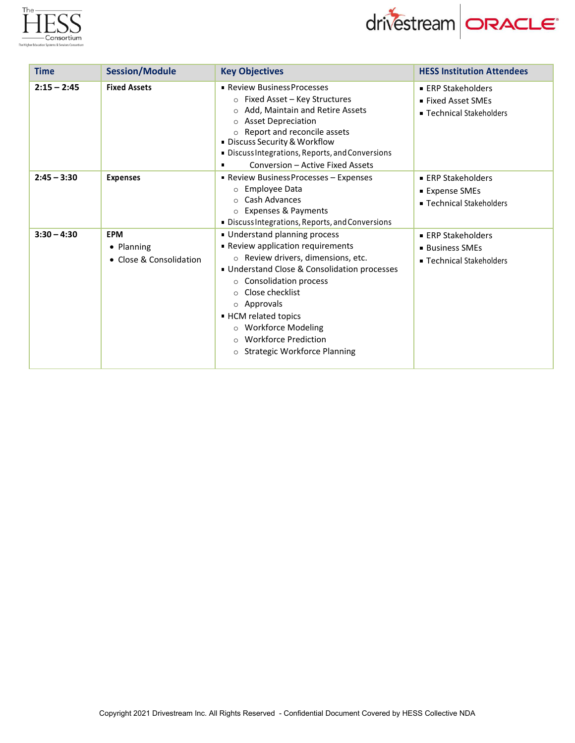



| <b>Time</b>   | <b>Session/Module</b>                               | <b>Key Objectives</b>                                                                                                                                                                                                                                                                                                                                                   | <b>HESS Institution Attendees</b>                                      |
|---------------|-----------------------------------------------------|-------------------------------------------------------------------------------------------------------------------------------------------------------------------------------------------------------------------------------------------------------------------------------------------------------------------------------------------------------------------------|------------------------------------------------------------------------|
| $2:15 - 2:45$ | <b>Fixed Assets</b>                                 | • Review Business Processes<br>○ Fixed Asset - Key Structures<br>Add, Maintain and Retire Assets<br>$\Omega$<br><b>Asset Depreciation</b><br>$\circ$<br>Report and reconcile assets<br><b>Discuss Security &amp; Workflow</b><br>Discuss Integrations, Reports, and Conversions<br>Conversion - Active Fixed Assets<br>٠                                                | ■ ERP Stakeholders<br>• Fixed Asset SMEs<br>■ Technical Stakeholders   |
| $2:45 - 3:30$ | <b>Expenses</b>                                     | <b>- Review Business Processes - Expenses</b><br>Employee Data<br>$\circ$<br>Cash Advances<br>$\Omega$<br>o Expenses & Payments<br>Discuss Integrations, Reports, and Conversions                                                                                                                                                                                       | ■ ERP Stakeholders<br>■ Expense SMEs<br>■ Technical Stakeholders       |
| $3:30 - 4:30$ | <b>EPM</b><br>• Planning<br>• Close & Consolidation | Understand planning process<br>Review application requirements<br>o Review drivers, dimensions, etc.<br>Understand Close & Consolidation processes<br>○ Consolidation process<br>Close checklist<br>$\circ$<br>o Approvals<br>- HCM related topics<br><b>Workforce Modeling</b><br>$\circ$<br><b>Workforce Prediction</b><br>$\Omega$<br>o Strategic Workforce Planning | ■ ERP Stakeholders<br><b>Business SMEs</b><br>■ Technical Stakeholders |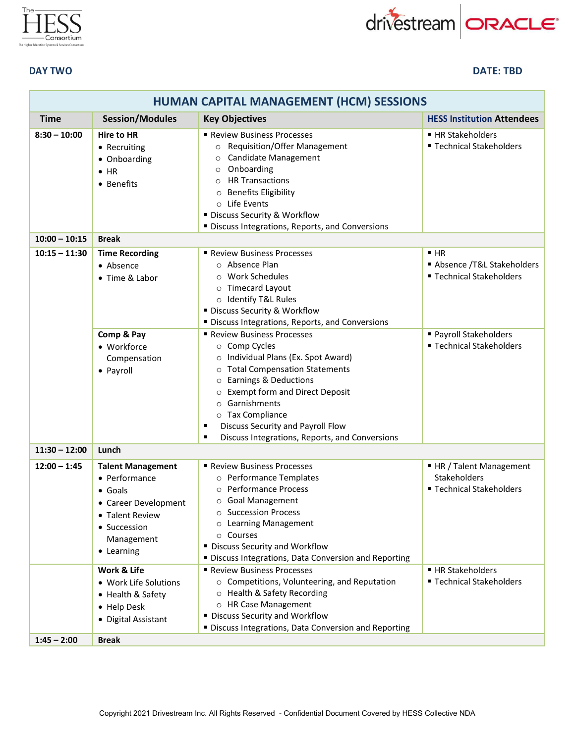



**DAY TWO DATE: TBD**

| HUMAN CAPITAL MANAGEMENT (HCM) SESSIONS |                                                                                                                                                     |                                                                                                                                                                                                                                                                                                                                                                                                               |                                                                         |
|-----------------------------------------|-----------------------------------------------------------------------------------------------------------------------------------------------------|---------------------------------------------------------------------------------------------------------------------------------------------------------------------------------------------------------------------------------------------------------------------------------------------------------------------------------------------------------------------------------------------------------------|-------------------------------------------------------------------------|
| <b>Time</b>                             | <b>Session/Modules</b>                                                                                                                              | <b>Key Objectives</b>                                                                                                                                                                                                                                                                                                                                                                                         | <b>HESS Institution Attendees</b>                                       |
| $8:30 - 10:00$                          | Hire to HR<br>• Recruiting<br>• Onboarding<br>$\bullet$ HR<br>• Benefits                                                                            | Review Business Processes<br><b>Requisition/Offer Management</b><br>Candidate Management<br>Onboarding<br>$\circ$<br><b>HR Transactions</b><br>$\Omega$<br><b>Benefits Eligibility</b><br>$\circ$<br>o Life Events<br><b>Discuss Security &amp; Workflow</b><br>" Discuss Integrations, Reports, and Conversions                                                                                              | ■ HR Stakeholders<br>■ Technical Stakeholders                           |
| $10:00 - 10:15$                         | <b>Break</b>                                                                                                                                        |                                                                                                                                                                                                                                                                                                                                                                                                               |                                                                         |
| $10:15 - 11:30$                         | <b>Time Recording</b><br>• Absence<br>• Time & Labor                                                                                                | ■ Review Business Processes<br>$\circ$ Absence Plan<br><b>Work Schedules</b><br><b>Timecard Layout</b><br>$\circ$<br>o Identify T&L Rules<br><b>Discuss Security &amp; Workflow</b><br>" Discuss Integrations, Reports, and Conversions                                                                                                                                                                       | H <sub>R</sub><br>Absence /T&L Stakeholders<br>■ Technical Stakeholders |
|                                         | Comp & Pay<br>• Workforce<br>Compensation<br>• Payroll                                                                                              | Review Business Processes<br>o Comp Cycles<br>Individual Plans (Ex. Spot Award)<br>$\circ$<br><b>Total Compensation Statements</b><br>$\circ$<br><b>Earnings &amp; Deductions</b><br>$\circ$<br><b>Exempt form and Direct Deposit</b><br>$\circ$<br>Garnishments<br>$\circ$<br>o Tax Compliance<br>Discuss Security and Payroll Flow<br>٠<br>Discuss Integrations, Reports, and Conversions<br>$\blacksquare$ | " Payroll Stakeholders<br>■ Technical Stakeholders                      |
| $11:30 - 12:00$                         | Lunch                                                                                                                                               |                                                                                                                                                                                                                                                                                                                                                                                                               |                                                                         |
| $12:00 - 1:45$                          | <b>Talent Management</b><br>• Performance<br>$\bullet$ Goals<br>• Career Development<br>• Talent Review<br>• Succession<br>Management<br>• Learning | Review Business Processes<br>o Performance Templates<br>o Performance Process<br>o Goal Management<br>○ Succession Process<br><b>Learning Management</b><br>Courses<br>$\circ$<br>" Discuss Security and Workflow<br>" Discuss Integrations, Data Conversion and Reporting                                                                                                                                    | ■ HR / Talent Management<br>Stakeholders<br>■ Technical Stakeholders    |
|                                         | Work & Life                                                                                                                                         | Review Business Processes                                                                                                                                                                                                                                                                                                                                                                                     | ■ HR Stakeholders                                                       |
|                                         | • Work Life Solutions<br>• Health & Safety<br>• Help Desk<br>• Digital Assistant                                                                    | $\circ$ Competitions, Volunteering, and Reputation<br>O Health & Safety Recording<br>o HR Case Management<br>" Discuss Security and Workflow<br>" Discuss Integrations, Data Conversion and Reporting                                                                                                                                                                                                         | " Technical Stakeholders                                                |
| $1:45 - 2:00$                           | <b>Break</b>                                                                                                                                        |                                                                                                                                                                                                                                                                                                                                                                                                               |                                                                         |